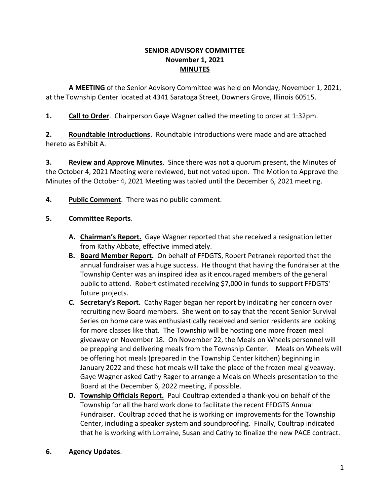#### **SENIOR ADVISORY COMMITTEE November 1, 2021 MINUTES**

**A MEETING** of the Senior Advisory Committee was held on Monday, November 1, 2021, at the Township Center located at 4341 Saratoga Street, Downers Grove, Illinois 60515.

**1. Call to Order**. Chairperson Gaye Wagner called the meeting to order at 1:32pm.

**2. Roundtable Introductions**. Roundtable introductions were made and are attached hereto as Exhibit A.

**3. Review and Approve Minutes**. Since there was not a quorum present, the Minutes of the October 4, 2021 Meeting were reviewed, but not voted upon. The Motion to Approve the Minutes of the October 4, 2021 Meeting was tabled until the December 6, 2021 meeting.

**4. Public Comment**. There was no public comment.

## **5. Committee Reports**.

- **A. Chairman's Report.** Gaye Wagner reported that she received a resignation letter from Kathy Abbate, effective immediately.
- **B. Board Member Report.** On behalf of FFDGTS, Robert Petranek reported that the annual fundraiser was a huge success. He thought that having the fundraiser at the Township Center was an inspired idea as it encouraged members of the general public to attend. Robert estimated receiving \$7,000 in funds to support FFDGTS' future projects.
- **C. Secretary's Report.** Cathy Rager began her report by indicating her concern over recruiting new Board members. She went on to say that the recent Senior Survival Series on home care was enthusiastically received and senior residents are looking for more classes like that. The Township will be hosting one more frozen meal giveaway on November 18. On November 22, the Meals on Wheels personnel will be prepping and delivering meals from the Township Center. Meals on Wheels will be offering hot meals (prepared in the Township Center kitchen) beginning in January 2022 and these hot meals will take the place of the frozen meal giveaway. Gaye Wagner asked Cathy Rager to arrange a Meals on Wheels presentation to the Board at the December 6, 2022 meeting, if possible.
- **D. Township Officials Report.** Paul Coultrap extended a thank-you on behalf of the Township for all the hard work done to facilitate the recent FFDGTS Annual Fundraiser. Coultrap added that he is working on improvements for the Township Center, including a speaker system and soundproofing. Finally, Coultrap indicated that he is working with Lorraine, Susan and Cathy to finalize the new PACE contract.

#### **6. Agency Updates**.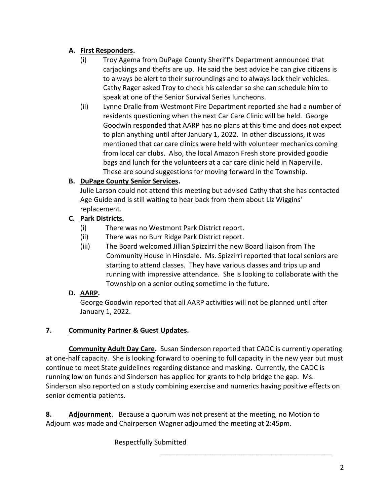## **A. First Responders.**

- (i) Troy Agema from DuPage County Sheriff's Department announced that carjackings and thefts are up. He said the best advice he can give citizens is to always be alert to their surroundings and to always lock their vehicles. Cathy Rager asked Troy to check his calendar so she can schedule him to speak at one of the Senior Survival Series luncheons.
- (ii) Lynne Dralle from Westmont Fire Department reported she had a number of residents questioning when the next Car Care Clinic will be held. George Goodwin responded that AARP has no plans at this time and does not expect to plan anything until after January 1, 2022. In other discussions, it was mentioned that car care clinics were held with volunteer mechanics coming from local car clubs. Also, the local Amazon Fresh store provided goodie bags and lunch for the volunteers at a car care clinic held in Naperville. These are sound suggestions for moving forward in the Township.

# **B. DuPage County Senior Services.**

Julie Larson could not attend this meeting but advised Cathy that she has contacted Age Guide and is still waiting to hear back from them about Liz Wiggins' replacement.

## **C. Park Districts.**

- (i) There was no Westmont Park District report.
- (ii) There was no Burr Ridge Park District report.
- (iii) The Board welcomed Jillian Spizzirri the new Board liaison from The Community House in Hinsdale. Ms. Spizzirri reported that local seniors are starting to attend classes. They have various classes and trips up and running with impressive attendance. She is looking to collaborate with the Township on a senior outing sometime in the future.

# **D. AARP.**

George Goodwin reported that all AARP activities will not be planned until after January 1, 2022.

#### **7. Community Partner & Guest Updates.**

**Community Adult Day Care.** Susan Sinderson reported that CADC is currently operating at one-half capacity. She is looking forward to opening to full capacity in the new year but must continue to meet State guidelines regarding distance and masking. Currently, the CADC is running low on funds and Sinderson has applied for grants to help bridge the gap. Ms. Sinderson also reported on a study combining exercise and numerics having positive effects on senior dementia patients.

\_\_\_\_\_\_\_\_\_\_\_\_\_\_\_\_\_\_\_\_\_\_\_\_\_\_\_\_\_\_\_\_\_\_\_\_\_\_\_\_\_\_\_\_\_

**8. Adjournment**. Because a quorum was not present at the meeting, no Motion to Adjourn was made and Chairperson Wagner adjourned the meeting at 2:45pm.

Respectfully Submitted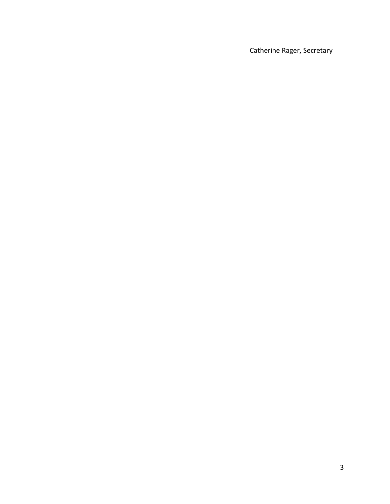Catherine Rager, Secretary